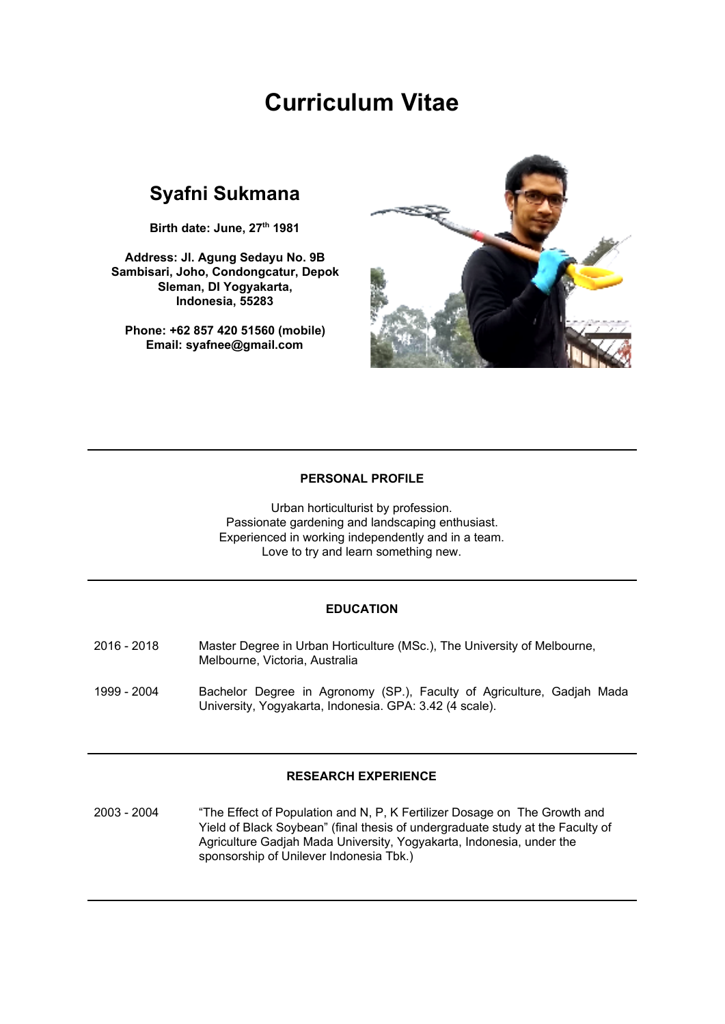# **Curriculum Vitae**

# **Syafni Sukmana**

**Birth date: June, 27 th 1981**

**Address: Jl. Agung Sedayu No. 9B Sambisari, Joho, Condongcatur, Depok Sleman, DI Yogyakarta, Indonesia, 55283**

**Phone: +62 857 420 51560 (mobile) Email: syafnee@gmail.com**



#### **PERSONAL PROFILE**

Urban horticulturist by profession. Passionate gardening and landscaping enthusiast. Experienced in working independently and in a team. Love to try and learn something new.

#### **EDUCATION**

- 2016 2018 Master Degree in Urban Horticulture (MSc.), The University of Melbourne, Melbourne, Victoria, Australia
- 1999 2004 Bachelor Degree in Agronomy (SP.), Faculty of Agriculture, Gadjah Mada University, Yogyakarta, Indonesia. GPA: 3.42 (4 scale).

#### **RESEARCH EXPERIENCE**

2003 - 2004 "The Effect of Population and N, P, K Fertilizer Dosage on The Growth and Yield of Black Soybean" (final thesis of undergraduate study at the Faculty of Agriculture Gadjah Mada University, Yogyakarta, Indonesia, under the sponsorship of Unilever Indonesia Tbk.)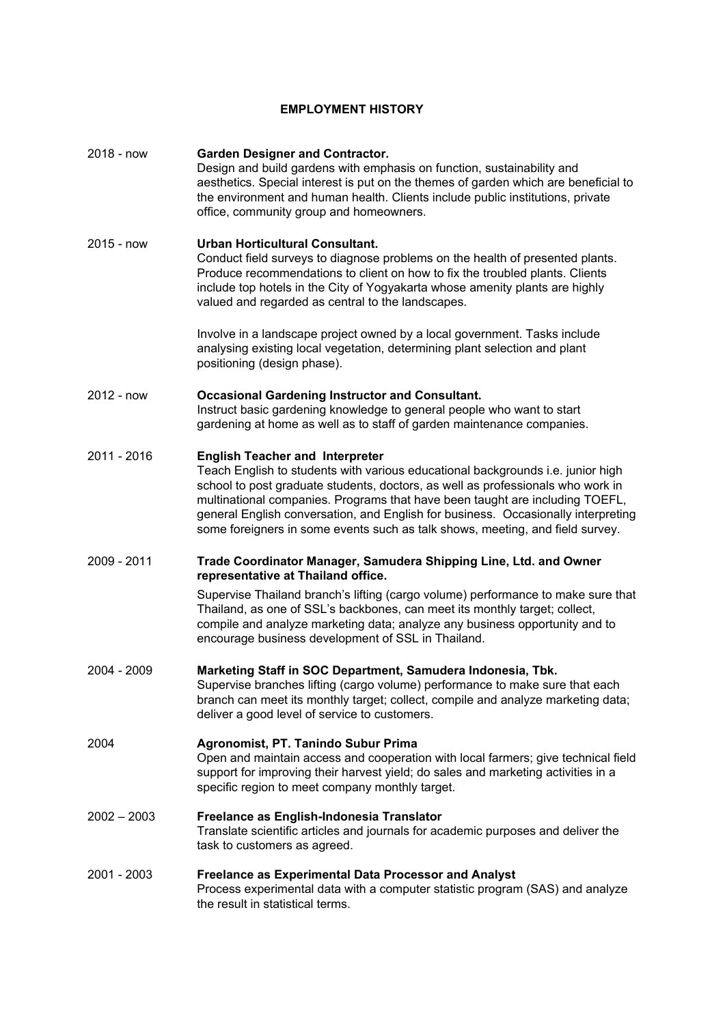# **EMPLOYMENT HISTORY**

| 2018 - now    | <b>Garden Designer and Contractor.</b><br>Design and build gardens with emphasis on function, sustainability and<br>aesthetics. Special interest is put on the themes of garden which are beneficial to<br>the environment and human health. Clients include public institutions, private<br>office, community group and homeowners.                                                                                                                               |
|---------------|--------------------------------------------------------------------------------------------------------------------------------------------------------------------------------------------------------------------------------------------------------------------------------------------------------------------------------------------------------------------------------------------------------------------------------------------------------------------|
| $2015 - now$  | <b>Urban Horticultural Consultant.</b><br>Conduct field surveys to diagnose problems on the health of presented plants.<br>Produce recommendations to client on how to fix the troubled plants. Clients<br>include top hotels in the City of Yogyakarta whose amenity plants are highly<br>valued and regarded as central to the landscapes.                                                                                                                       |
|               | Involve in a landscape project owned by a local government. Tasks include<br>analysing existing local vegetation, determining plant selection and plant<br>positioning (design phase).                                                                                                                                                                                                                                                                             |
| 2012 - now    | <b>Occasional Gardening Instructor and Consultant.</b><br>Instruct basic gardening knowledge to general people who want to start<br>gardening at home as well as to staff of garden maintenance companies.                                                                                                                                                                                                                                                         |
| 2011 - 2016   | <b>English Teacher and Interpreter</b><br>Teach English to students with various educational backgrounds i.e. junior high<br>school to post graduate students, doctors, as well as professionals who work in<br>multinational companies. Programs that have been taught are including TOEFL,<br>general English conversation, and English for business. Occasionally interpreting<br>some foreigners in some events such as talk shows, meeting, and field survey. |
| 2009 - 2011   | Trade Coordinator Manager, Samudera Shipping Line, Ltd. and Owner<br>representative at Thailand office.                                                                                                                                                                                                                                                                                                                                                            |
|               | Supervise Thailand branch's lifting (cargo volume) performance to make sure that<br>Thailand, as one of SSL's backbones, can meet its monthly target; collect,<br>compile and analyze marketing data; analyze any business opportunity and to<br>encourage business development of SSL in Thailand.                                                                                                                                                                |
| 2004 - 2009   | Marketing Staff in SOC Department, Samudera Indonesia, Tbk.<br>Supervise branches lifting (cargo volume) performance to make sure that each<br>branch can meet its monthly target; collect, compile and analyze marketing data;<br>deliver a good level of service to customers.                                                                                                                                                                                   |
| 2004          | Agronomist, PT. Tanindo Subur Prima<br>Open and maintain access and cooperation with local farmers; give technical field<br>support for improving their harvest yield; do sales and marketing activities in a<br>specific region to meet company monthly target.                                                                                                                                                                                                   |
| $2002 - 2003$ | Freelance as English-Indonesia Translator<br>Translate scientific articles and journals for academic purposes and deliver the<br>task to customers as agreed.                                                                                                                                                                                                                                                                                                      |
| 2001 - 2003   | <b>Freelance as Experimental Data Processor and Analyst</b><br>Process experimental data with a computer statistic program (SAS) and analyze<br>the result in statistical terms.                                                                                                                                                                                                                                                                                   |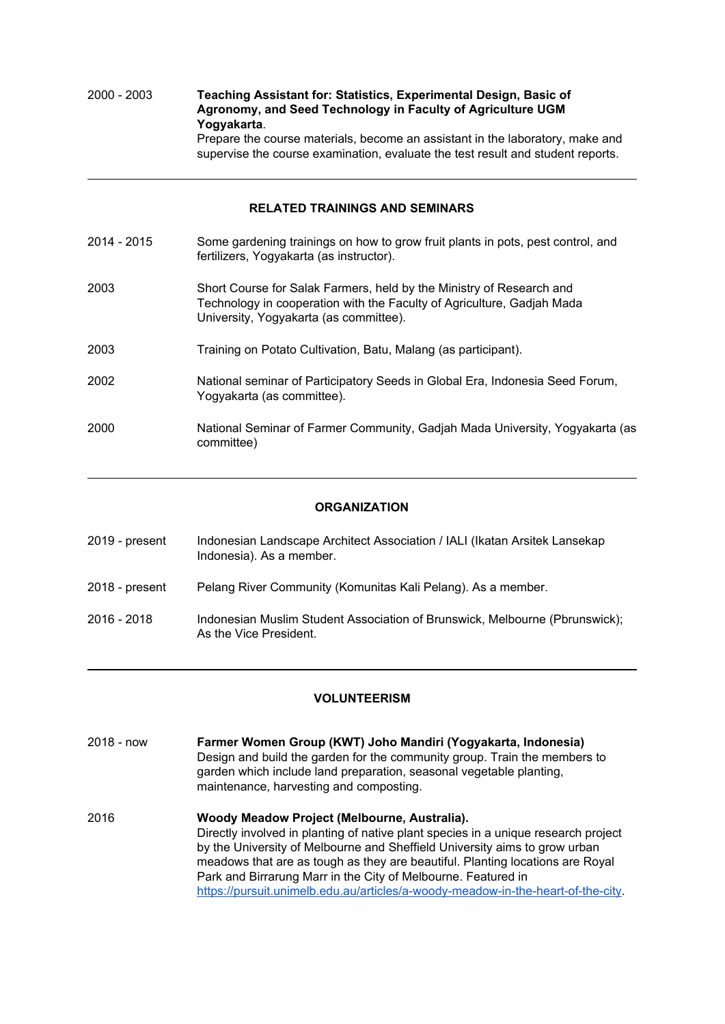2000 - 2003 **Teaching Assistant for: Statistics, Experimental Design, Basic of Agronomy, and Seed Technology in Faculty of Agriculture UGM Yogyakarta**. Prepare the course materials, become an assistant in the laboratory, make and supervise the course examination, evaluate the test result and student reports.

#### **RELATED TRAININGS AND SEMINARS**

2014 - 2015 Some gardening trainings on how to grow fruit plants in pots, pest control, and fertilizers, Yogyakarta (as instructor). 2003 Short Course for Salak Farmers, held by the Ministry of Research and Technology in cooperation with the Faculty of Agriculture, Gadjah Mada University, Yogyakarta (as committee). 2003 Training on Potato Cultivation, Batu, Malang (as participant). 2002 National seminar of Participatory Seeds in Global Era, Indonesia Seed Forum, Yogyakarta (as committee). 2000 National Seminar of Farmer Community, Gadjah Mada University, Yogyakarta (as committee)

#### **ORGANIZATION**

| 2019 - present | Indonesian Landscape Architect Association / IALI (Ikatan Arsitek Lansekap<br>Indonesia). As a member. |
|----------------|--------------------------------------------------------------------------------------------------------|
| 2018 - present | Pelang River Community (Komunitas Kali Pelang). As a member.                                           |
| 2016 - 2018    | Indonesian Muslim Student Association of Brunswick, Melbourne (Pbrunswick);<br>As the Vice President.  |

#### **VOLUNTEERISM**

| $2018 - now$ | Farmer Women Group (KWT) Joho Mandiri (Yogyakarta, Indonesia)<br>Design and build the garden for the community group. Train the members to<br>garden which include land preparation, seasonal vegetable planting,<br>maintenance, harvesting and composting.                                      |
|--------------|---------------------------------------------------------------------------------------------------------------------------------------------------------------------------------------------------------------------------------------------------------------------------------------------------|
| 2016         | Woody Meadow Project (Melbourne, Australia).<br>Directly involved in planting of native plant species in a unique research project<br>by the University of Melbourne and Sheffield University aims to grow urban<br>meadows that are as tough as they are beautiful. Planting locations are Royal |
|              | Park and Birrarung Marr in the City of Melbourne. Featured in                                                                                                                                                                                                                                     |

<https://pursuit.unimelb.edu.au/articles/a-woody-meadow-in-the-heart-of-the-city>.